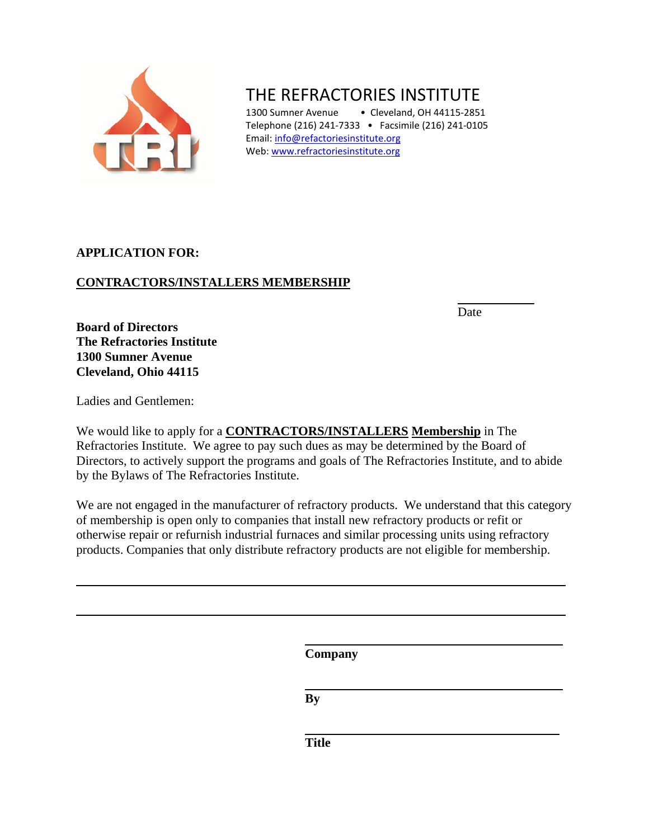

# THE REFRACTORIES INSTITUTE

1300 Sumner Avenue • Cleveland, OH 44115-2851 Telephone (216) 241‐7333 • Facsimile (216) 241‐0105 Email: [info@refactoriesinstitute.org](mailto:info@refactoriesinstitute.org) Web: [www.refractoriesinstitute.org](http://www.refractoriesinstitute.org/)

## **APPLICATION FOR:**

# **CONTRACTORS/INSTALLERS MEMBERSHIP**

**Date** 

**Board of Directors The Refractories Institute 1300 Sumner Avenue Cleveland, Ohio 44115** 

Ladies and Gentlemen:

We would like to apply for a **CONTRACTORS/INSTALLERS Membership** in The Refractories Institute. We agree to pay such dues as may be determined by the Board of Directors, to actively support the programs and goals of The Refractories Institute, and to abide by the Bylaws of The Refractories Institute.

We are not engaged in the manufacturer of refractory products. We understand that this category of membership is open only to companies that install new refractory products or refit or otherwise repair or refurnish industrial furnaces and similar processing units using refractory products. Companies that only distribute refractory products are not eligible for membership.

 **Company** 

 **By** 

*Title*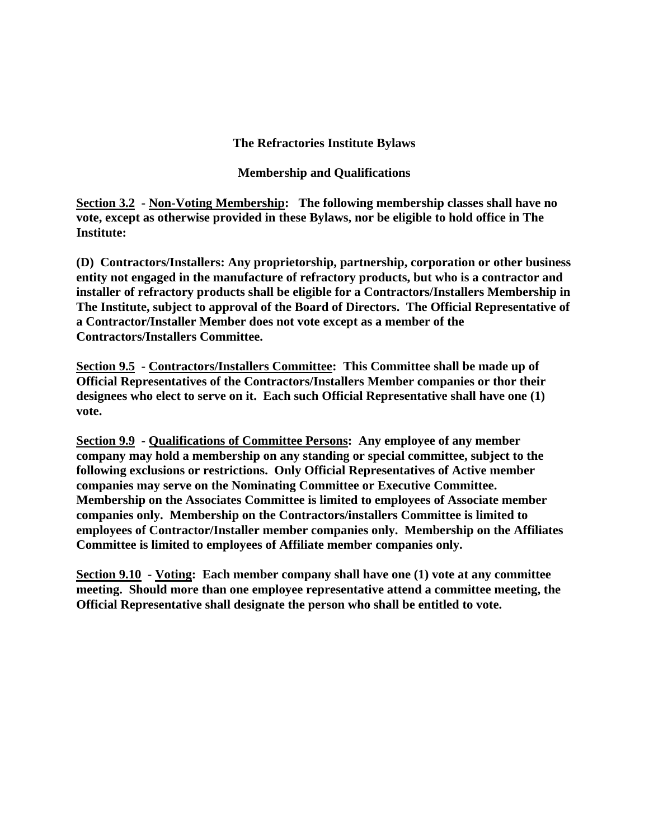#### **The Refractories Institute Bylaws**

**Membership and Qualifications** 

**Section 3.2 - Non-Voting Membership: The following membership classes shall have no vote, except as otherwise provided in these Bylaws, nor be eligible to hold office in The Institute:** 

**(D) Contractors/Installers: Any proprietorship, partnership, corporation or other business entity not engaged in the manufacture of refractory products, but who is a contractor and installer of refractory products shall be eligible for a Contractors/Installers Membership in The Institute, subject to approval of the Board of Directors. The Official Representative of a Contractor/Installer Member does not vote except as a member of the Contractors/Installers Committee.** 

**Section 9.5 - Contractors/Installers Committee: This Committee shall be made up of Official Representatives of the Contractors/Installers Member companies or thor their designees who elect to serve on it. Each such Official Representative shall have one (1) vote.** 

**Section 9.9 - Qualifications of Committee Persons: Any employee of any member company may hold a membership on any standing or special committee, subject to the following exclusions or restrictions. Only Official Representatives of Active member companies may serve on the Nominating Committee or Executive Committee. Membership on the Associates Committee is limited to employees of Associate member companies only. Membership on the Contractors/installers Committee is limited to employees of Contractor/Installer member companies only. Membership on the Affiliates Committee is limited to employees of Affiliate member companies only.** 

**Section 9.10 - Voting: Each member company shall have one (1) vote at any committee meeting. Should more than one employee representative attend a committee meeting, the Official Representative shall designate the person who shall be entitled to vote.**